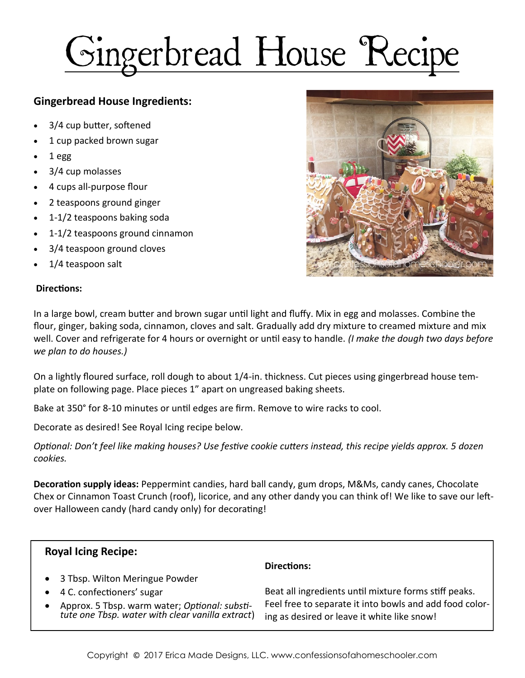## Gingerbread House Recipe

## **Gingerbread House Ingredients:**

- 3/4 cup butter, softened
- 1 cup packed brown sugar
- 1 egg
- 3/4 cup molasses
- 4 cups all-purpose flour
- 2 teaspoons ground ginger
- 1-1/2 teaspoons baking soda
- 1-1/2 teaspoons ground cinnamon
- 3/4 teaspoon ground cloves
- 1/4 teaspoon salt

## **Directions:**



In a large bowl, cream butter and brown sugar until light and fluffy. Mix in egg and molasses. Combine the flour, ginger, baking soda, cinnamon, cloves and salt. Gradually add dry mixture to creamed mixture and mix well. Cover and refrigerate for 4 hours or overnight or until easy to handle. *(I make the dough two days before we plan to do houses.)*

On a lightly floured surface, roll dough to about 1/4-in. thickness. Cut pieces using gingerbread house template on following page. Place pieces 1" apart on ungreased baking sheets.

Bake at 350° for 8-10 minutes or until edges are firm. Remove to wire racks to cool.

Decorate as desired! See Royal Icing recipe below.

*Optional: Don't feel like making houses? Use festive cookie cutters instead, this recipe yields approx. 5 dozen cookies.*

**Decoration supply ideas:** Peppermint candies, hard ball candy, gum drops, M&Ms, candy canes, Chocolate Chex or Cinnamon Toast Crunch (roof), licorice, and any other dandy you can think of! We like to save our leftover Halloween candy (hard candy only) for decorating!

| <b>Royal Icing Recipe:</b>                                                                        |                                                                                                        |
|---------------------------------------------------------------------------------------------------|--------------------------------------------------------------------------------------------------------|
|                                                                                                   | Directions:                                                                                            |
| • 3 Tbsp. Wilton Meringue Powder                                                                  |                                                                                                        |
| • 4 C. confectioners' sugar                                                                       | Beat all ingredients until mixture forms stiff peaks.                                                  |
| Approx. 5 Tbsp. warm water; Optional: substi-<br>tute one Tbsp. water with clear vanilla extract) | Feel free to separate it into bowls and add food color-<br>ing as desired or leave it white like snow! |